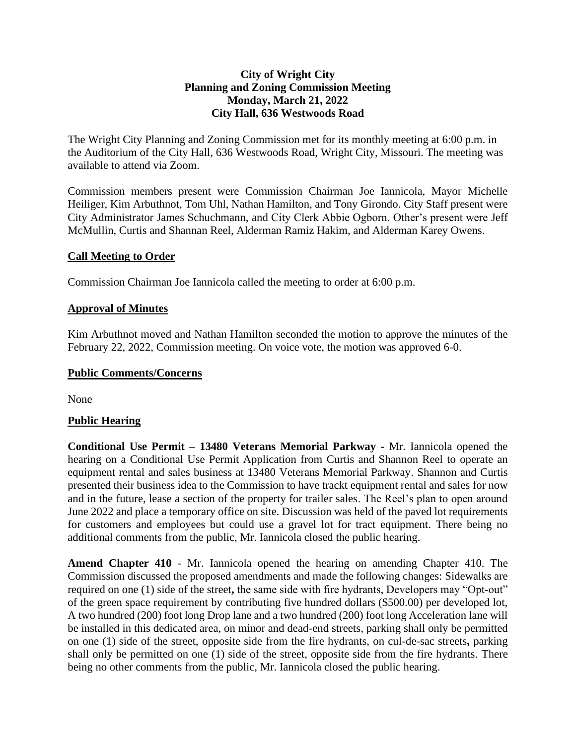### **City of Wright City Planning and Zoning Commission Meeting Monday, March 21, 2022 City Hall, 636 Westwoods Road**

The Wright City Planning and Zoning Commission met for its monthly meeting at 6:00 p.m. in the Auditorium of the City Hall, 636 Westwoods Road, Wright City, Missouri. The meeting was available to attend via Zoom.

Commission members present were Commission Chairman Joe Iannicola, Mayor Michelle Heiliger, Kim Arbuthnot, Tom Uhl, Nathan Hamilton, and Tony Girondo. City Staff present were City Administrator James Schuchmann, and City Clerk Abbie Ogborn. Other's present were Jeff McMullin, Curtis and Shannan Reel, Alderman Ramiz Hakim, and Alderman Karey Owens.

#### **Call Meeting to Order**

Commission Chairman Joe Iannicola called the meeting to order at 6:00 p.m.

### **Approval of Minutes**

Kim Arbuthnot moved and Nathan Hamilton seconded the motion to approve the minutes of the February 22, 2022, Commission meeting. On voice vote, the motion was approved 6-0.

#### **Public Comments/Concerns**

None

#### **Public Hearing**

**Conditional Use Permit – 13480 Veterans Memorial Parkway -** Mr. Iannicola opened the hearing on a Conditional Use Permit Application from Curtis and Shannon Reel to operate an equipment rental and sales business at 13480 Veterans Memorial Parkway. Shannon and Curtis presented their business idea to the Commission to have trackt equipment rental and sales for now and in the future, lease a section of the property for trailer sales. The Reel's plan to open around June 2022 and place a temporary office on site. Discussion was held of the paved lot requirements for customers and employees but could use a gravel lot for tract equipment. There being no additional comments from the public, Mr. Iannicola closed the public hearing.

**Amend Chapter 410** - Mr. Iannicola opened the hearing on amending Chapter 410. The Commission discussed the proposed amendments and made the following changes: Sidewalks are required on one (1) side of the street**,** the same side with fire hydrants, Developers may "Opt-out" of the green space requirement by contributing five hundred dollars (\$500.00) per developed lot, A two hundred (200) foot long Drop lane and a two hundred (200) foot long Acceleration lane will be installed in this dedicated area, on minor and dead-end streets, parking shall only be permitted on one (1) side of the street, opposite side from the fire hydrants, on cul-de-sac streets**,** parking shall only be permitted on one (1) side of the street, opposite side from the fire hydrants. There being no other comments from the public, Mr. Iannicola closed the public hearing.